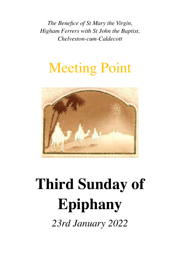*The Benefice of St Mary the Virgin, Higham Ferrers with St John the Baptist, Chelveston-cum-Caldecott*

# Meeting Point



# **Third Sunday of Epiphany**

*23rd January 2022*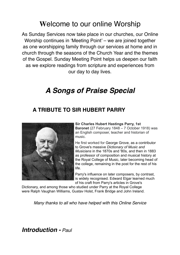## **W**elcome to our online Worship

As Sunday Services now take place in our churches, our Online Worship continues in 'Meeting Point' – we are joined together as one worshipping family through our services at home and in church through the seasons of the Church Year and the themes of the Gospel. Sunday Meeting Point helps us deepen our faith as we explore readings from scripture and experiences from our day to day lives.

# *A Songs of Praise Special*

#### **A TRIBUTE TO SIR HUBERT PARRY**



**Sir Charles Hubert Hastings Parry, 1st Baronet** (27 February 1848 – 7 October 1918) was an English composer, teacher and historian of music.

He first worked for [George Grove](https://en.wikipedia.org/wiki/George_Grove), as a contributor to Grove's massive *[Dictionary of Music and](https://en.wikipedia.org/wiki/The_New_Grove_Dictionary_of_Music_and_Musicians)  [Musicians](https://en.wikipedia.org/wiki/The_New_Grove_Dictionary_of_Music_and_Musicians)* in the 1870s and '80s, and then in 1883 as professor of composition and musical history at the [Royal College of Music,](https://en.wikipedia.org/wiki/Royal_College_of_Music) later becoming head of the college, remaining in the post for the rest of his life.

Parry's influence on later composers, by contrast, is widely recognised. [Edward Elgar](https://en.wikipedia.org/wiki/Edward_Elgar) learned much of his craft from Parry's articles in Grove's

Dictionary, and among those who studied under Parry at the Royal College were [Ralph Vaughan Williams](https://en.wikipedia.org/wiki/Ralph_Vaughan_Williams), [Gustav Holst,](https://en.wikipedia.org/wiki/Gustav_Holst) [Frank Bridge](https://en.wikipedia.org/wiki/Frank_Bridge) and [John Ireland.](https://en.wikipedia.org/wiki/John_Ireland_(composer))

*Many thanks to all who have helped with this Online Service*

*Introduction - Paul*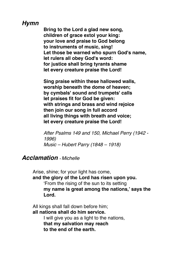#### *Hymn*

**Bring to the Lord a glad new song, children of grace extol your king: your love and praise to God belong to instruments of music, sing! Let those be warned who spurn God's name, let rulers all obey God's word: for justice shall bring tyrants shame let every creature praise the Lord!**

**Sing praise within these hallowed walls, worship beneath the dome of heaven; by cymbals' sound and trumpets' calls let praises fit for God be given: with strings and brass and wind rejoice then join our song in full accord all living things with breath and voice; let every creature praise the Lord!**

*After Psalms 149 and 150, Michael Perry (1942 - 1996) Music – Hubert Parry (1848 – 1918)*

#### *Acclamation - Michelle*

Arise, shine; for your light has come,

**and the glory of the Lord has risen upon you.**

'From the rising of the sun to its setting **my name is great among the nations,' says the Lord.**

All kings shall fall down before him; **all nations shall do him service.** I will give you as a light to the nations, **that my salvation may reach to the end of the earth.**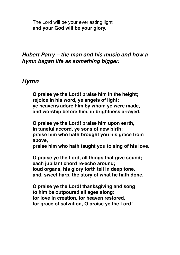The Lord will be your everlasting light **and your God will be your glory.**

#### *Hubert Parry – the man and his music and how a hymn began life as something bigger.*

#### *Hymn*

**O praise ye the Lord! praise him in the height; rejoice in his word, ye angels of light; ye heavens adore him by whom ye were made, and worship before him, in brightness arrayed.**

**O praise ye the Lord! praise him upon earth, in tuneful accord, ye sons of new birth; praise him who hath brought you his grace from above,**

**praise him who hath taught you to sing of his love.**

**O praise ye the Lord, all things that give sound; each jubilant chord re-echo around; loud organs, his glory forth tell in deep tone, and, sweet harp, the story of what he hath done.**

**O praise ye the Lord! thanksgiving and song to him be outpoured all ages along: for love in creation, for heaven restored, for grace of salvation, O praise ye the Lord!**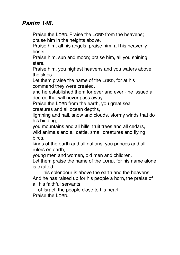#### *Psalm 148.*

Praise the LORD. Praise the LORD from the heavens; praise him in the heights above.

Praise him, all his angels; praise him, all his heavenly hosts.

Praise him, sun and moon; praise him, all you shining stars.

Praise him, you highest heavens and you waters above the skies.

Let them praise the name of the LORD, for at his command they were created,

and he established them for ever and ever - he issued a decree that will never pass away.

Praise the LORD from the earth, you great sea creatures and all ocean depths,

lightning and hail, snow and clouds, stormy winds that do his bidding;

you mountains and all hills, fruit trees and all cedars, wild animals and all cattle, small creatures and flying birds,

kings of the earth and all nations, you princes and all rulers on earth,

young men and women, old men and children.

Let them praise the name of the LORD, for his name alone is exalted;

 his splendour is above the earth and the heavens. And he has raised up for his people a horn, the praise of all his faithful servants,

 of Israel, the people close to his heart. Praise the LORD.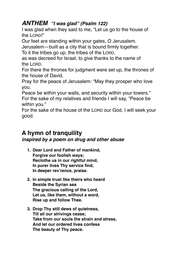#### *ANTHEM "I was glad" (Psalm 122)*

I was glad when they said to me, "Let us go to the house of the LORD!"

Our feet are standing within your gates, O Jerusalem.

Jerusalem—built as a city that is bound firmly together.

To it the tribes go up, the tribes of the LORD,

as was decreed for Israel, to give thanks to the name of the LORD.

For there the thrones for judgment were set up, the thrones of the house of David.

Pray for the peace of Jerusalem: "May they prosper who love you.

Peace be within your walls, and security within your towers." For the sake of my relatives and friends I will say, "Peace be within you."

For the sake of the house of the LORD our God, I will seek your good.

### **A hymn of tranquility**

*inspired by a poem on drug and other abuse*

- **1. Dear Lord and Father of mankind, Forgive our foolish ways; Reclothe us in our rightful mind, In purer lives Thy service find, In deeper rev'rence, praise.**
- **2. In simple trust like theirs who heard Beside the Syrian sea The gracious calling of the Lord, Let us, like them, without a word, Rise up and follow Thee.**
- **3. Drop Thy still dews of quietness, Till all our strivings cease; Take from our souls the strain and stress, And let our ordered lives confess The beauty of Thy peace.**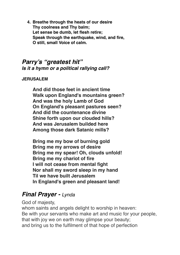**4. Breathe through the heats of our desire Thy coolness and Thy balm; Let sense be dumb, let flesh retire; Speak through the earthquake, wind, and fire, O still, small Voice of calm.**

#### *Parry's "greatest hit" Is it a hymn or a political rallying call?*

#### **JERUSALEM**

**And did those feet in ancient time Walk upon England's mountains green? And was the holy Lamb of God On England's pleasant pastures seen? And did the countenance divine Shine forth upon our clouded hills? And was Jerusalem builded here Among those dark Satanic mills?**

**Bring me my bow of burning gold Bring me my arrows of desire Bring me my spear! Oh, clouds unfold! Bring me my chariot of fire I will not cease from mental fight Nor shall my sword sleep in my hand Til we have built Jerusalem In England's green and pleasant land!**

#### *Final Prayer - Lynda*

God of majesty,

whom saints and angels delight to worship in heaven: Be with your servants who make art and music for your people, that with joy we on earth may glimpse your beauty; and bring us to the fulfilment of that hope of perfection